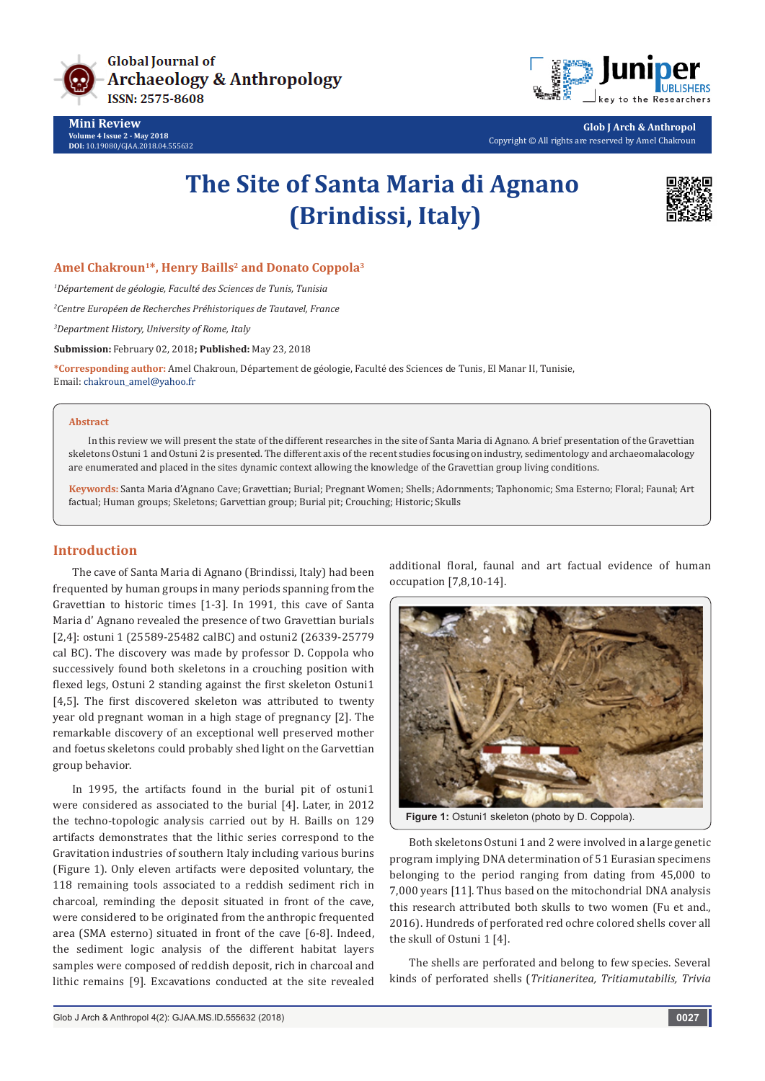

**Mini Review Volume 4 Issue 2 - May 2018 DOI:** [10.19080/GJAA.2018.04.555632](http://dx.doi.org/10.19080/GJAA.2018.04.555632)



**Glob J Arch & Anthropol** Copyright © All rights are reserved by Amel Chakroun

# **The Site of Santa Maria di Agnano (Brindissi, Italy)**



### Amel Chakroun<sup>1\*</sup>, Henry Baills<sup>2</sup> and Donato Coppola<sup>3</sup>

*1 Département de géologie, Faculté des Sciences de Tunis, Tunisia*

*2 Centre Européen de Recherches Préhistoriques de Tautavel, France*

*3 Department History, University of Rome, Italy*

**Submission:** February 02, 2018**; Published:** May 23, 2018

**\*Corresponding author:** Amel Chakroun, Département de géologie, Faculté des Sciences de Tunis, El Manar II, Tunisie, Email: chakroun\_amel@yahoo.fr

#### **Abstract**

In this review we will present the state of the different researches in the site of Santa Maria di Agnano. A brief presentation of the Gravettian skeletons Ostuni 1 and Ostuni 2 is presented. The different axis of the recent studies focusing on industry, sedimentology and archaeomalacology are enumerated and placed in the sites dynamic context allowing the knowledge of the Gravettian group living conditions.

**Keywords:** Santa Maria d'Agnano Cave; Gravettian; Burial; Pregnant Women; Shells; Adornments; Taphonomic; Sma Esterno; Floral; Faunal; Art factual; Human groups; Skeletons; Garvettian group; Burial pit; Crouching; Historic; Skulls

### **Introduction**

The cave of Santa Maria di Agnano (Brindissi, Italy) had been frequented by human groups in many periods spanning from the Gravettian to historic times [1-3]. In 1991, this cave of Santa Maria d' Agnano revealed the presence of two Gravettian burials [2,4]: ostuni 1 (25589-25482 calBC) and ostuni2 (26339-25779 cal BC). The discovery was made by professor D. Coppola who successively found both skeletons in a crouching position with flexed legs, Ostuni 2 standing against the first skeleton Ostuni1 [4,5]. The first discovered skeleton was attributed to twenty year old pregnant woman in a high stage of pregnancy [2]. The remarkable discovery of an exceptional well preserved mother and foetus skeletons could probably shed light on the Garvettian group behavior.

In 1995, the artifacts found in the burial pit of ostuni1 were considered as associated to the burial [4]. Later, in 2012 the techno-topologic analysis carried out by H. Baills on 129 artifacts demonstrates that the lithic series correspond to the Gravitation industries of southern Italy including various burins (Figure 1). Only eleven artifacts were deposited voluntary, the 118 remaining tools associated to a reddish sediment rich in charcoal, reminding the deposit situated in front of the cave, were considered to be originated from the anthropic frequented area (SMA esterno) situated in front of the cave [6-8]. Indeed, the sediment logic analysis of the different habitat layers samples were composed of reddish deposit, rich in charcoal and lithic remains [9]. Excavations conducted at the site revealed

additional floral, faunal and art factual evidence of human occupation [7,8,10-14].



Figure 1: Ostuni1 skeleton (photo by D. Coppola).

Both skeletons Ostuni 1 and 2 were involved in a large genetic program implying DNA determination of 51 Eurasian specimens belonging to the period ranging from dating from 45,000 to 7,000 years [11]. Thus based on the mitochondrial DNA analysis this research attributed both skulls to two women (Fu et and., 2016). Hundreds of perforated red ochre colored shells cover all the skull of Ostuni 1 [4].

The shells are perforated and belong to few species. Several kinds of perforated shells (*Tritianeritea, Tritiamutabilis, Trivia*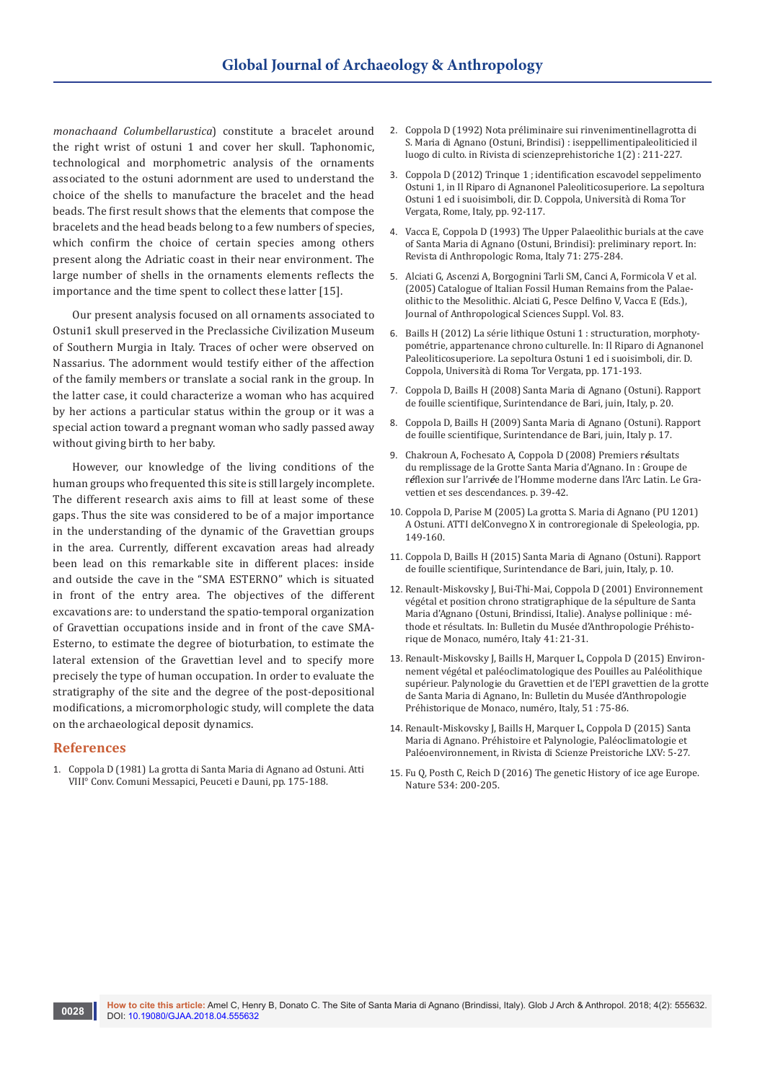*monachaand Columbellarustica*) constitute a bracelet around the right wrist of ostuni 1 and cover her skull. Taphonomic, technological and morphometric analysis of the ornaments associated to the ostuni adornment are used to understand the choice of the shells to manufacture the bracelet and the head beads. The first result shows that the elements that compose the bracelets and the head beads belong to a few numbers of species, which confirm the choice of certain species among others present along the Adriatic coast in their near environment. The large number of shells in the ornaments elements reflects the importance and the time spent to collect these latter [15].

Our present analysis focused on all ornaments associated to Ostuni1 skull preserved in the Preclassiche Civilization Museum of Southern Murgia in Italy. Traces of ocher were observed on Nassarius. The adornment would testify either of the affection of the family members or translate a social rank in the group. In the latter case, it could characterize a woman who has acquired by her actions a particular status within the group or it was a special action toward a pregnant woman who sadly passed away without giving birth to her baby.

However, our knowledge of the living conditions of the human groups who frequented this site is still largely incomplete. The different research axis aims to fill at least some of these gaps. Thus the site was considered to be of a major importance in the understanding of the dynamic of the Gravettian groups in the area. Currently, different excavation areas had already been lead on this remarkable site in different places: inside and outside the cave in the "SMA ESTERNO" which is situated in front of the entry area. The objectives of the different excavations are: to understand the spatio-temporal organization of Gravettian occupations inside and in front of the cave SMA-Esterno, to estimate the degree of bioturbation, to estimate the lateral extension of the Gravettian level and to specify more precisely the type of human occupation. In order to evaluate the stratigraphy of the site and the degree of the post-depositional modifications, a micromorphologic study, will complete the data on the archaeological deposit dynamics.

#### **References**

1. Coppola D (1981) La grotta di Santa Maria di Agnano ad Ostuni. Atti VIII° Conv. Comuni Messapici, Peuceti e Dauni, pp. 175-188.

- 2. Coppola D (1992) Nota préliminaire sui rinvenimentinellagrotta di S. Maria di Agnano (Ostuni, Brindisi) : iseppellimentipaleoliticied il luogo di culto. in Rivista di scienzeprehistoriche 1(2) : 211-227.
- 3. Coppola D (2012) Trinque 1 ; identification escavodel seppelimento Ostuni 1, in Il Riparo di Agnanonel Paleoliticosuperiore. La sepoltura Ostuni 1 ed i suoisimboli, dir. D. Coppola, Università di Roma Tor Vergata, Rome, Italy, pp. 92-117.
- 4. Vacca E, Coppola D (1993) The Upper Palaeolithic burials at the cave of Santa Maria di Agnano (Ostuni, Brindisi): preliminary report. In: Revista di Anthropologic Roma, Italy 71: 275-284.
- 5. Alciati G, Ascenzi A, Borgognini Tarli SM, Canci A, Formicola V et al. (2005) Catalogue of Italian Fossil Human Remains from the Palaeolithic to the Mesolithic. Alciati G, Pesce Delfino V, Vacca E (Eds.), Journal of Anthropological Sciences Suppl. Vol. 83.
- 6. Baills H (2012) La série lithique Ostuni 1 : structuration, morphotypométrie, appartenance chrono culturelle. In: Il Riparo di Agnanonel Paleoliticosuperiore. La sepoltura Ostuni 1 ed i suoisimboli, dir. D. Coppola, Università di Roma Tor Vergata, pp. 171-193.
- 7. Coppola D, Baills H (2008) Santa Maria di Agnano (Ostuni). Rapport de fouille scientifique, Surintendance de Bari, juin, Italy, p. 20.
- 8. Coppola D, Baills H (2009) Santa Maria di Agnano (Ostuni). Rapport de fouille scientifique, Surintendance de Bari, juin, Italy p. 17.
- 9. Chakroun A, Fochesato A, Coppola D (2008) Premiers r*é*sultats du remplissage de la Grotte Santa Maria d'Agnano. In : Groupe de r*é*flexion sur l'arriv*é*e de l'Homme moderne dans l'Arc Latin. Le Gravettien et ses descendances. p. 39-42.
- 10. Coppola D, Parise M (2005) La grotta S. Maria di Agnano (PU 1201) A Ostuni. ATTI delConvegno X in controregionale di Speleologia, pp. 149-160.
- 11. Coppola D, Baills H (2015) Santa Maria di Agnano (Ostuni). Rapport de fouille scientifique, Surintendance de Bari, juin, Italy, p. 10.
- 12. Renault-Miskovsky J, Bui-Thi-Mai, Coppola D (2001) Environnement végétal et position chrono stratigraphique de la sépulture de Santa Maria d'Agnano (Ostuni, Brindissi, Italie). Analyse pollinique : méthode et résultats. In: Bulletin du Musée d'Anthropologie Préhistorique de Monaco, numéro, Italy 41: 21-31.
- 13. Renault-Miskovsky J, Baills H, Marquer L, Coppola D (2015) Environnement végétal et paléoclimatologique des Pouilles au Paléolithique supérieur. Palynologie du Gravettien et de l'EPI gravettien de la grotte de Santa Maria di Agnano, In: Bulletin du Musée d'Anthropologie Préhistorique de Monaco, numéro, Italy, 51 : 75-86.
- 14. Renault-Miskovsky J, Baills H, Marquer L, Coppola D (2015) Santa Maria di Agnano. Préhistoire et Palynologie, Paléoclimatologie et Paléoenvironnement, in Rivista di Scienze Preistoriche LXV: 5-27.
- 15. [Fu Q, Posth C, Reich D \(2016\) The genetic History of ice age Europe.](https://www.nature.com/articles/nature17993)  [Nature 534: 200-205.](https://www.nature.com/articles/nature17993)